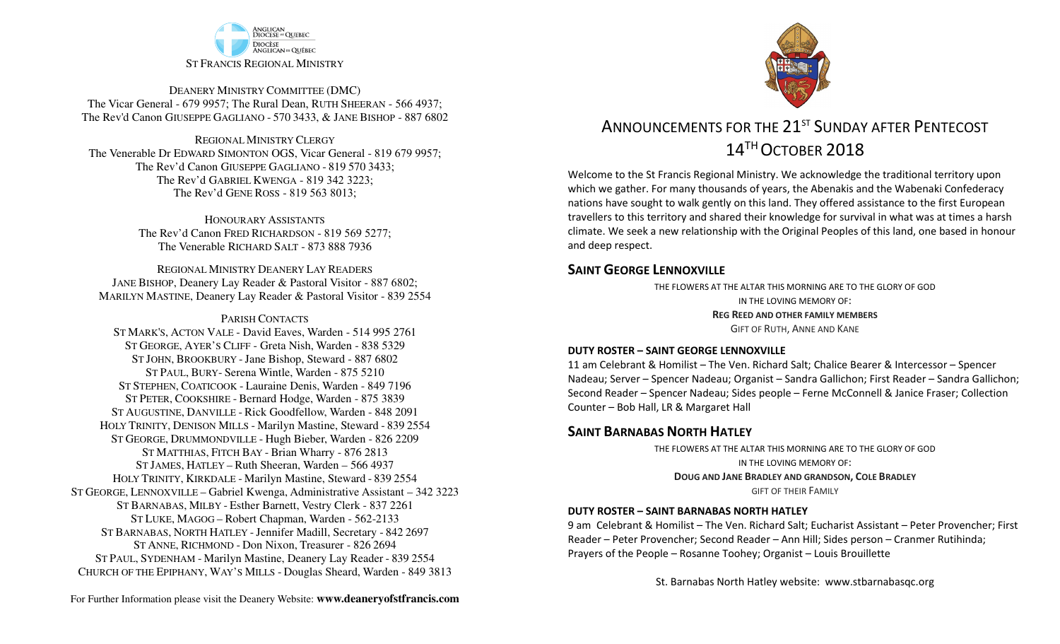

DEANERY MINISTRY COMMITTEE (DMC) The Vicar General - 679 9957; The Rural Dean, RUTH SHEERAN - 566 4937; The Rev'd Canon GIUSEPPE GAGLIANO - <sup>570</sup> 3433, & JANE BISHOP - 887 6802

REGIONAL MINISTRY CLERGY The Venerable Dr EDWARD SIMONTON OGS, Vicar General - 819 679 9957;The Rev'd Canon GIUSEPPE GAGLIANO - <sup>819</sup> <sup>570</sup> 3433; The Rev'd GABRIEL KWENGA - 819 342 3223;The Rev'd GENE ROSS - 819 563 8013;

> HONOURARY ASSISTANTS The Rev'd Canon FRED RICHARDSON - 819 569 5277;The Venerable RICHARD SALT - 873 888 7936

REGIONAL MINISTRY DEANERY LAY READERS JANE BISHOP, Deanery Lay Reader & Pastoral Visitor - 887 6802;MARILYN MASTINE, Deanery Lay Reader & Pastoral Visitor - 839 2554

#### PARISH CONTACTS

 ST MARK'S, ACTON VALE - David Eaves, Warden - 514 995 2761 ST GEORGE, AYER'S CLIFF - Greta Nish, Warden - 838 5329 ST JOHN, BROOKBURY -Jane Bishop, Steward - 887 6802 ST PAUL, BURY- Serena Wintle, Warden - 875 5210 ST STEPHEN, COATICOOK - Lauraine Denis, Warden - 849 7196 ST PETER, COOKSHIRE - Bernard Hodge, Warden - 875 3839 ST AUGUSTINE, DANVILLE - Rick Goodfellow, Warden - 848 2091 HOLY TRINITY, DENISON MILLS - Marilyn Mastine, Steward - <sup>839</sup> <sup>2554</sup> ST GEORGE, DRUMMONDVILLE - Hugh Bieber, Warden - 826 2209 ST MATTHIAS, FITCH BAY - Brian Wharry - 876 2813 ST JAMES, HATLEY – Ruth Sheeran, Warden – 566 4937 HOLY TRINITY, KIRKDALE - Marilyn Mastine, Steward - <sup>839</sup> <sup>2554</sup> ST GEORGE, LENNOXVILLE – Gabriel Kwenga, Administrative Assistant – 342 3223 ST BARNABAS, MILBY - Esther Barnett, Vestry Clerk - 837 2261 ST LUKE, MAGOG – Robert Chapman, Warden - 562-2133 ST BARNABAS, NORTH HATLEY -Jennifer Madill, Secretary - <sup>842</sup> <sup>2697</sup> ST ANNE, RICHMOND - Don Nixon, Treasurer - 826 <sup>2694</sup> ST PAUL, SYDENHAM - Marilyn Mastine, Deanery Lay Reader - <sup>839</sup> <sup>2554</sup> CHURCH OF THE EPIPHANY, WAY'S MILLS - Douglas Sheard, Warden - 849 3813



# ANNOUNCEMENTS FOR THE 21<sup>ST</sup> SUNDAY AFTER PENTECOST 14<sup>TH</sup> OCTOBER 2018

Welcome to the St Francis Regional Ministry. We acknowledge the traditional territory upon which we gather. For many thousands of years, the Abenakis and the Wabenaki Confederacy nations have sought to walk gently on this land. They offered assistance to the first European travellers to this territory and shared their knowledge for survival in what was at times a harsh climate. We seek a new relationship with the Original Peoples of this land, one based in honour and deep respect.

### **SAINT GFORGE LENNOXVILLE**

THE FLOWERS AT THE ALTAR THIS MORNING ARE TO THE GLORY OF GODIN THE LOVING MEMORY OF: **REG REED AND OTHER FAMILY MEMBERS**GIFT OF RUTH, ANNE AND KANE

#### **DUTY ROSTER – SAINT GEORGE LENNOXVILLE**

 11 am Celebrant & Homilist – The Ven. Richard Salt; Chalice Bearer & Intercessor – Spencer Nadeau; Server – Spencer Nadeau; Organist – Sandra Gallichon; First Reader – Sandra Gallichon; Second Reader – Spencer Nadeau; Sides people – Ferne McConnell & Janice Fraser; Collection Counter – Bob Hall, LR & Margaret Hall

### **SAINT BARNABAS NORTH HATLEY**

THE FLOWERS AT THE ALTAR THIS MORNING ARE TO THE GLORY OF GODIN THE LOVING MEMORY OF: **DOUG AND JANE BRADLEY AND GRANDSON, COLE BRADLEY**GIFT OF THEIR FAMILY

#### **DUTY ROSTER – SAINT BARNABAS NORTH HATLEY**

9 am Celebrant & Homilist – The Ven. Richard Salt; Eucharist Assistant – Peter Provencher; First Reader – Peter Provencher; Second Reader – Ann Hill; Sides person – Cranmer Rutihinda; Prayers of the People – Rosanne Toohey; Organist – Louis Brouillette

St. Barnabas North Hatley website: www.stbarnabasqc.org